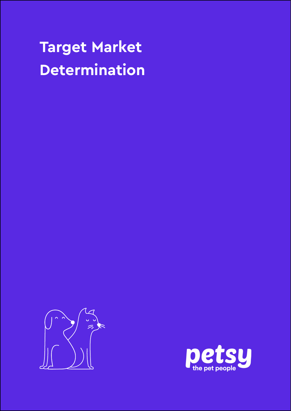# **Target Market Determination**



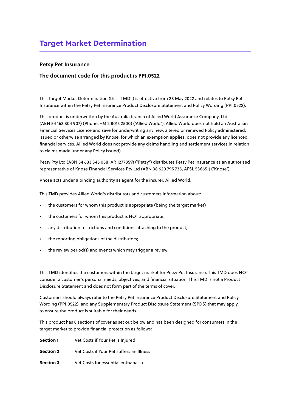#### **Petsy Pet Insurance**

#### **The document code for this product is PPI.0522**

This Target Market Determination (this "TMD") is effective from 28 May 2022 and relates to Petsy Pet Insurance within the Petsy Pet Insurance Product Disclosure Statement and Policy Wording (PPI.0522).

This product is underwritten by the Australia branch of Allied World Assurance Company, Ltd (ABN 54 163 304 907) (Phone: +61 2 8015 2500) ('Allied World'). Allied World does not hold an Australian Financial Services Licence and save for underwriting any new, altered or renewed Policy administered, issued or otherwise arranged by Knose, for which an exemption applies, does not provide any licenced financial services. Allied World does not provide any claims handling and settlement services in relation to claims made under any Policy issued)

Petsy Pty Ltd (ABN 54 633 343 058, AR 1277359) ('Petsy') distributes Petsy Pet Insurance as an authorised representative of Knose Financial Services Pty Ltd (ABN 38 620 795 735, AFSL 536651) ('Knose').

Knose acts under a binding authority as agent for the insurer, Allied World.

This TMD provides Allied World's distributors and customers information about:

- the customers for whom this product is appropriate (being the target market)
- the customers for whom this product is NOT appropriate;
- any distribution restrictions and conditions attaching to the product;
- the reporting obligations of the distributors;
- the review period(s) and events which may trigger a review.

This TMD identifies the customers within the target market for Petsy Pet Insurance. This TMD does NOT consider a customer's personal needs, objectives, and financial situation. This TMD is not a Product Disclosure Statement and does not form part of the terms of cover.

Customers should always refer to the Petsy Pet Insurance Product Disclosure Statement and Policy Wording (PPI.0522), and any Supplementary Product Disclosure Statement (SPDS) that may apply, to ensure the product is suitable for their needs.

This product has 8 sections of cover as set out below and has been designed for consumers in the target market to provide financial protection as follows:

| Section 1        | Vet Costs if Your Pet is Injured         |
|------------------|------------------------------------------|
| <b>Section 2</b> | Vet Costs if Your Pet suffers an Illness |
| <b>Section 3</b> | Vet Costs for essential euthanasia       |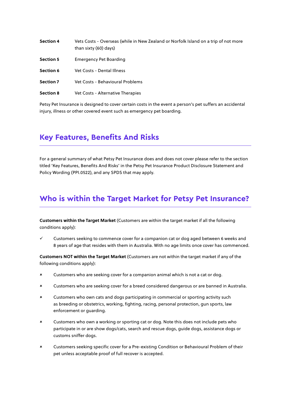| <b>Section 4</b> | Vets Costs - Overseas (while in New Zealand or Norfolk Island on a trip of not more<br>than sixty (60) days) |
|------------------|--------------------------------------------------------------------------------------------------------------|
| <b>Section 5</b> | <b>Emergency Pet Boarding</b>                                                                                |
| Section 6        | Vet Costs - Dental Illness                                                                                   |
| Section 7        | Vet Costs - Behavioural Problems                                                                             |
| <b>Section 8</b> | Vet Costs - Alternative Therapies                                                                            |

Petsy Pet Insurance is designed to cover certain costs in the event a person's pet suffers an accidental injury, illness or other covered event such as emergency pet boarding.

## **Key Features, Benefits And Risks**

For a general summary of what Petsy Pet Insurance does and does not cover please refer to the section titled 'Key Features, Benefits And Risks' in the Petsy Pet Insurance Product Disclosure Statement and Policy Wording (PPI.0522), and any SPDS that may apply.

## **Who is within the Target Market for Petsy Pet Insurance?**

**Customers within the Target Market** (Customers are within the target market if all the following conditions apply):

Customers seeking to commence cover for a companion cat or dog aged between 6 weeks and 8 years of age that resides with them in Australia. With no age limits once cover has commenced.

**Customers NOT within the Target Market** (Customers are not within the target market if any of the following conditions apply):

- 8 Customers who are seeking cover for a companion animal which is not a cat or dog.
- 8 Customers who are seeking cover for a breed considered dangerous or are banned in Australia.
- 8 Customers who own cats and dogs participating in commercial or sporting activity such as breeding or obstetrics, working, fighting, racing, personal protection, gun sports, law enforcement or guarding.
- 8 Customers who own a working or sporting cat or dog. Note this does not include pets who participate in or are show dogs/cats, search and rescue dogs, guide dogs, assistance dogs or customs sniffer dogs.
- 8 Customers seeking specific cover for a Pre-existing Condition or Behavioural Problem of their pet unless acceptable proof of full recover is accepted.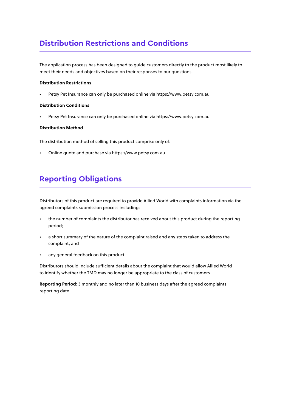# **Distribution Restrictions and Conditions**

The application process has been designed to guide customers directly to the product most likely to meet their needs and objectives based on their responses to our questions.

#### **Distribution Restrictions**

• Petsy Pet Insurance can only be purchased online via https://www.petsy.com.au

#### **Distribution Conditions**

• Petsy Pet Insurance can only be purchased online via https://www.petsy.com.au

#### **Distribution Method**

The distribution method of selling this product comprise only of:

• Online quote and purchase via https://www.petsy.com.au

## **Reporting Obligations**

Distributors of this product are required to provide Allied World with complaints information via the agreed complaints submission process including:

- the number of complaints the distributor has received about this product during the reporting period;
- a short summary of the nature of the complaint raised and any steps taken to address the complaint; and
- any general feedback on this product

Distributors should include sufficient details about the complaint that would allow Allied World to identify whether the TMD may no longer be appropriate to the class of customers.

**Reporting Period**: 3 monthly and no later than 10 business days after the agreed complaints reporting date.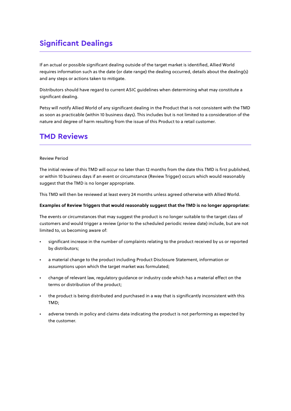# **Significant Dealings**

If an actual or possible significant dealing outside of the target market is identified, Allied World requires information such as the date (or date range) the dealing occurred, details about the dealing(s) and any steps or actions taken to mitigate.

Distributors should have regard to current ASIC guidelines when determining what may constitute a significant dealing.

Petsy will notify Allied World of any significant dealing in the Product that is not consistent with the TMD as soon as practicable (within 10 business days). This includes but is not limited to a consideration of the nature and degree of harm resulting from the issue of this Product to a retail customer.

## **TMD Reviews**

#### Review Period

The initial review of this TMD will occur no later than 12 months from the date this TMD is first published, or within 10 business days if an event or circumstance (Review Trigger) occurs which would reasonably suggest that the TMD is no longer appropriate.

This TMD will then be reviewed at least every 24 months unless agreed otherwise with Allied World.

#### **Examples of Review Triggers that would reasonably suggest that the TMD is no longer appropriate:**

The events or circumstances that may suggest the product is no longer suitable to the target class of customers and would trigger a review (prior to the scheduled periodic review date) include, but are not limited to, us becoming aware of:

- significant increase in the number of complaints relating to the product received by us or reported by distributors;
- a material change to the product including Product Disclosure Statement, information or assumptions upon which the target market was formulated;
- change of relevant law, regulatory guidance or industry code which has a material effect on the terms or distribution of the product;
- the product is being distributed and purchased in a way that is significantly inconsistent with this TMD;
- adverse trends in policy and claims data indicating the product is not performing as expected by the customer.